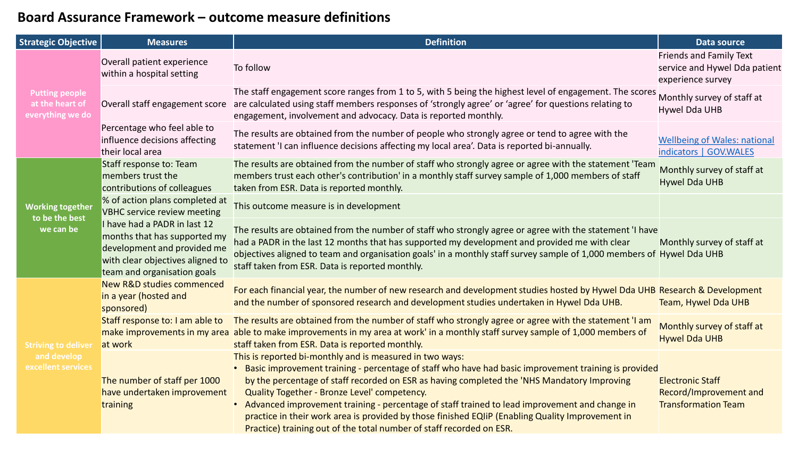## **Board Assurance Framework – outcome measure definitions**

| <b>Strategic Objective</b>                                      | <b>Measures</b>                                                                                                                                                | <b>Definition</b>                                                                                                                                                                                                                                                                                                                                                                                                                                                                                                                                                                                | Data source                                                                          |
|-----------------------------------------------------------------|----------------------------------------------------------------------------------------------------------------------------------------------------------------|--------------------------------------------------------------------------------------------------------------------------------------------------------------------------------------------------------------------------------------------------------------------------------------------------------------------------------------------------------------------------------------------------------------------------------------------------------------------------------------------------------------------------------------------------------------------------------------------------|--------------------------------------------------------------------------------------|
| <b>Putting people</b><br>at the heart of<br>everything we do    | Overall patient experience<br>within a hospital setting                                                                                                        | To follow                                                                                                                                                                                                                                                                                                                                                                                                                                                                                                                                                                                        | <b>Friends and Family Text</b><br>service and Hywel Dda patient<br>experience survey |
|                                                                 | Overall staff engagement score                                                                                                                                 | The staff engagement score ranges from 1 to 5, with 5 being the highest level of engagement. The scores<br>are calculated using staff members responses of 'strongly agree' or 'agree' for questions relating to<br>engagement, involvement and advocacy. Data is reported monthly.                                                                                                                                                                                                                                                                                                              | Monthly survey of staff at<br>Hywel Dda UHB                                          |
|                                                                 | Percentage who feel able to<br>influence decisions affecting<br>their local area                                                                               | The results are obtained from the number of people who strongly agree or tend to agree with the<br>statement 'I can influence decisions affecting my local area'. Data is reported bi-annually.                                                                                                                                                                                                                                                                                                                                                                                                  | <b>Wellbeing of Wales: national</b><br>indicators   GOV.WALES                        |
| <b>Working together</b><br>to be the best<br>we can be          | Staff response to: Team<br>members trust the<br>contributions of colleagues                                                                                    | The results are obtained from the number of staff who strongly agree or agree with the statement 'Team<br>members trust each other's contribution' in a monthly staff survey sample of 1,000 members of staff<br>taken from ESR. Data is reported monthly.                                                                                                                                                                                                                                                                                                                                       | Monthly survey of staff at<br><b>Hywel Dda UHB</b>                                   |
|                                                                 | % of action plans completed at<br><b>VBHC service review meeting</b>                                                                                           | This outcome measure is in development                                                                                                                                                                                                                                                                                                                                                                                                                                                                                                                                                           |                                                                                      |
|                                                                 | I have had a PADR in last 12<br>months that has supported my<br>development and provided me<br>with clear objectives aligned to<br>team and organisation goals | The results are obtained from the number of staff who strongly agree or agree with the statement 'I have<br>had a PADR in the last 12 months that has supported my development and provided me with clear<br>objectives aligned to team and organisation goals' in a monthly staff survey sample of 1,000 members of Hywel Dda UHB<br>staff taken from ESR. Data is reported monthly.                                                                                                                                                                                                            | Monthly survey of staff at                                                           |
| <b>Striving to deliver</b><br>and develop<br>excellent services | <b>New R&amp;D studies commenced</b><br>in a year (hosted and<br>sponsored)                                                                                    | For each financial year, the number of new research and development studies hosted by Hywel Dda UHB Research & Development<br>and the number of sponsored research and development studies undertaken in Hywel Dda UHB.                                                                                                                                                                                                                                                                                                                                                                          | Team, Hywel Dda UHB                                                                  |
|                                                                 | Staff response to: I am able to<br>make improvements in my area<br>at work                                                                                     | The results are obtained from the number of staff who strongly agree or agree with the statement 'I am<br>able to make improvements in my area at work' in a monthly staff survey sample of 1,000 members of<br>staff taken from ESR. Data is reported monthly.                                                                                                                                                                                                                                                                                                                                  | Monthly survey of staff at<br><b>Hywel Dda UHB</b>                                   |
|                                                                 | The number of staff per 1000<br>have undertaken improvement<br>training                                                                                        | This is reported bi-monthly and is measured in two ways:<br>• Basic improvement training - percentage of staff who have had basic improvement training is provided<br>by the percentage of staff recorded on ESR as having completed the 'NHS Mandatory Improving<br>Quality Together - Bronze Level' competency.<br>• Advanced improvement training - percentage of staff trained to lead improvement and change in<br>practice in their work area is provided by those finished EQIIP (Enabling Quality Improvement in<br>Practice) training out of the total number of staff recorded on ESR. | <b>Electronic Staff</b><br>Record/Improvement and<br><b>Transformation Team</b>      |